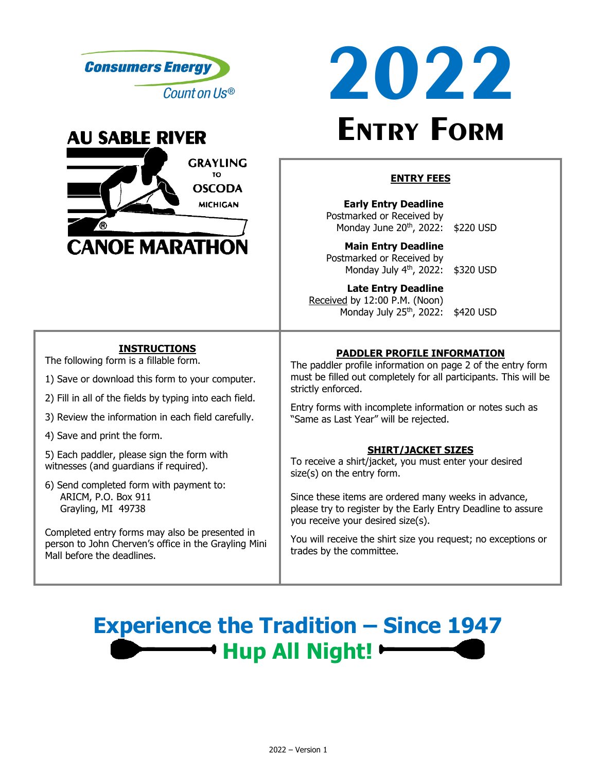





#### **ENTRY FEES**

**Early Entry Deadline** Postmarked or Received by Monday June 20<sup>th</sup>, 2022: \$220 USD

**Main Entry Deadline** Postmarked or Received by Monday July 4th, 2022: \$320 USD

**Late Entry Deadline** Received by 12:00 P.M. (Noon) Monday July 25<sup>th</sup>, 2022: \$420 USD

## **INSTRUCTIONS**

The following form is a fillable form.

- 1) Save or download this form to your computer.
- 2) Fill in all of the fields by typing into each field.
- 3) Review the information in each field carefully.
- 4) Save and print the form.

5) Each paddler, please sign the form with witnesses (and guardians if required).

6) Send completed form with payment to: ARICM, P.O. Box 911 Grayling, MI 49738

Completed entry forms may also be presented in person to John Cherven's office in the Grayling Mini Mall before the deadlines.

# **PADDLER PROFILE INFORMATION**

The paddler profile information on page 2 of the entry form must be filled out completely for all participants. This will be strictly enforced.

Entry forms with incomplete information or notes such as "Same as Last Year" will be rejected.

## **SHIRT/JACKET SIZES**

To receive a shirt/jacket, you must enter your desired size(s) on the entry form.

Since these items are ordered many weeks in advance, please try to register by the Early Entry Deadline to assure you receive your desired size(s).

You will receive the shirt size you request; no exceptions or trades by the committee.

# **Experience the Tradition – Since 1947 Hup All Night!**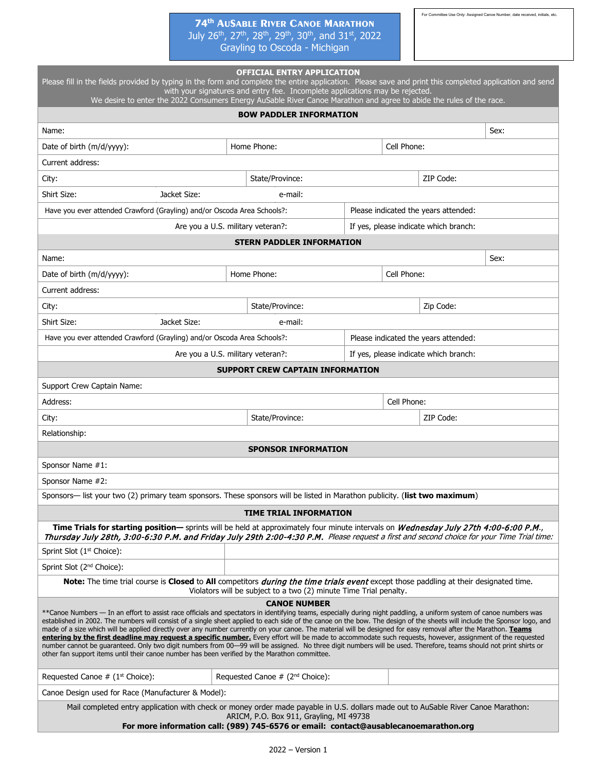### **74th AUSABLE RIVER CANOE MARATHON** July 26<sup>th</sup>, 27<sup>th</sup>, 28<sup>th</sup>, 29<sup>th</sup>, 30<sup>th</sup>, and 31st, 2022 Grayling to Oscoda - Michigan

For Committee Use Only: Assigned Canoe Number, date received, initials, etc.

| Please fill in the fields provided by typing in the form and complete the entire application. Please save and print this completed application and send<br>with your signatures and entry fee. Incomplete applications may be rejected.                                                                                                                                                                                                                                                                                                                                                                                                                                                                                                                                                                                                                                                                                                                                         |             |                                             |                                       |             |                                       |      |  |  |
|---------------------------------------------------------------------------------------------------------------------------------------------------------------------------------------------------------------------------------------------------------------------------------------------------------------------------------------------------------------------------------------------------------------------------------------------------------------------------------------------------------------------------------------------------------------------------------------------------------------------------------------------------------------------------------------------------------------------------------------------------------------------------------------------------------------------------------------------------------------------------------------------------------------------------------------------------------------------------------|-------------|---------------------------------------------|---------------------------------------|-------------|---------------------------------------|------|--|--|
| We desire to enter the 2022 Consumers Energy AuSable River Canoe Marathon and agree to abide the rules of the race.<br><b>BOW PADDLER INFORMATION</b>                                                                                                                                                                                                                                                                                                                                                                                                                                                                                                                                                                                                                                                                                                                                                                                                                           |             |                                             |                                       |             |                                       |      |  |  |
| Name:                                                                                                                                                                                                                                                                                                                                                                                                                                                                                                                                                                                                                                                                                                                                                                                                                                                                                                                                                                           |             |                                             |                                       |             |                                       | Sex: |  |  |
| Date of birth (m/d/yyyy):                                                                                                                                                                                                                                                                                                                                                                                                                                                                                                                                                                                                                                                                                                                                                                                                                                                                                                                                                       |             | Home Phone:                                 |                                       | Cell Phone: |                                       |      |  |  |
| Current address:                                                                                                                                                                                                                                                                                                                                                                                                                                                                                                                                                                                                                                                                                                                                                                                                                                                                                                                                                                |             |                                             |                                       |             |                                       |      |  |  |
| City:                                                                                                                                                                                                                                                                                                                                                                                                                                                                                                                                                                                                                                                                                                                                                                                                                                                                                                                                                                           |             | State/Province:                             |                                       |             | ZIP Code:                             |      |  |  |
| Shirt Size:<br>Jacket Size:                                                                                                                                                                                                                                                                                                                                                                                                                                                                                                                                                                                                                                                                                                                                                                                                                                                                                                                                                     |             | e-mail:                                     |                                       |             |                                       |      |  |  |
| Have you ever attended Crawford (Grayling) and/or Oscoda Area Schools?:<br>Please indicated the years attended:                                                                                                                                                                                                                                                                                                                                                                                                                                                                                                                                                                                                                                                                                                                                                                                                                                                                 |             |                                             |                                       |             |                                       |      |  |  |
| Are you a U.S. military veteran?:                                                                                                                                                                                                                                                                                                                                                                                                                                                                                                                                                                                                                                                                                                                                                                                                                                                                                                                                               |             |                                             | If yes, please indicate which branch: |             |                                       |      |  |  |
| <b>STERN PADDLER INFORMATION</b>                                                                                                                                                                                                                                                                                                                                                                                                                                                                                                                                                                                                                                                                                                                                                                                                                                                                                                                                                |             |                                             |                                       |             |                                       |      |  |  |
| Name:                                                                                                                                                                                                                                                                                                                                                                                                                                                                                                                                                                                                                                                                                                                                                                                                                                                                                                                                                                           |             |                                             |                                       |             |                                       | Sex: |  |  |
| Date of birth (m/d/yyyy):                                                                                                                                                                                                                                                                                                                                                                                                                                                                                                                                                                                                                                                                                                                                                                                                                                                                                                                                                       | Home Phone: |                                             | Cell Phone:                           |             |                                       |      |  |  |
| Current address:                                                                                                                                                                                                                                                                                                                                                                                                                                                                                                                                                                                                                                                                                                                                                                                                                                                                                                                                                                |             |                                             |                                       |             |                                       |      |  |  |
| City:                                                                                                                                                                                                                                                                                                                                                                                                                                                                                                                                                                                                                                                                                                                                                                                                                                                                                                                                                                           |             | State/Province:                             |                                       |             | Zip Code:                             |      |  |  |
| Shirt Size:<br>Jacket Size:                                                                                                                                                                                                                                                                                                                                                                                                                                                                                                                                                                                                                                                                                                                                                                                                                                                                                                                                                     |             | e-mail:                                     |                                       |             |                                       |      |  |  |
| Have you ever attended Crawford (Grayling) and/or Oscoda Area Schools?:                                                                                                                                                                                                                                                                                                                                                                                                                                                                                                                                                                                                                                                                                                                                                                                                                                                                                                         |             |                                             |                                       |             | Please indicated the years attended:  |      |  |  |
| Are you a U.S. military veteran?:                                                                                                                                                                                                                                                                                                                                                                                                                                                                                                                                                                                                                                                                                                                                                                                                                                                                                                                                               |             |                                             |                                       |             | If yes, please indicate which branch: |      |  |  |
|                                                                                                                                                                                                                                                                                                                                                                                                                                                                                                                                                                                                                                                                                                                                                                                                                                                                                                                                                                                 |             | <b>SUPPORT CREW CAPTAIN INFORMATION</b>     |                                       |             |                                       |      |  |  |
| Support Crew Captain Name:                                                                                                                                                                                                                                                                                                                                                                                                                                                                                                                                                                                                                                                                                                                                                                                                                                                                                                                                                      |             |                                             |                                       |             |                                       |      |  |  |
| Address:                                                                                                                                                                                                                                                                                                                                                                                                                                                                                                                                                                                                                                                                                                                                                                                                                                                                                                                                                                        |             |                                             |                                       | Cell Phone: |                                       |      |  |  |
| City:                                                                                                                                                                                                                                                                                                                                                                                                                                                                                                                                                                                                                                                                                                                                                                                                                                                                                                                                                                           |             | State/Province:                             |                                       |             | ZIP Code:                             |      |  |  |
| Relationship:                                                                                                                                                                                                                                                                                                                                                                                                                                                                                                                                                                                                                                                                                                                                                                                                                                                                                                                                                                   |             |                                             |                                       |             |                                       |      |  |  |
|                                                                                                                                                                                                                                                                                                                                                                                                                                                                                                                                                                                                                                                                                                                                                                                                                                                                                                                                                                                 |             | <b>SPONSOR INFORMATION</b>                  |                                       |             |                                       |      |  |  |
| Sponsor Name #1:                                                                                                                                                                                                                                                                                                                                                                                                                                                                                                                                                                                                                                                                                                                                                                                                                                                                                                                                                                |             |                                             |                                       |             |                                       |      |  |  |
| Sponsor Name #2:                                                                                                                                                                                                                                                                                                                                                                                                                                                                                                                                                                                                                                                                                                                                                                                                                                                                                                                                                                |             |                                             |                                       |             |                                       |      |  |  |
| Sponsors— list your two (2) primary team sponsors. These sponsors will be listed in Marathon publicity. (list two maximum)                                                                                                                                                                                                                                                                                                                                                                                                                                                                                                                                                                                                                                                                                                                                                                                                                                                      |             |                                             |                                       |             |                                       |      |  |  |
|                                                                                                                                                                                                                                                                                                                                                                                                                                                                                                                                                                                                                                                                                                                                                                                                                                                                                                                                                                                 |             | <b>TIME TRIAL INFORMATION</b>               |                                       |             |                                       |      |  |  |
| Time Trials for starting position— sprints will be held at approximately four minute intervals on Wednesday July 27th 4:00-6:00 P.M.,<br>Thursday July 28th, 3:00-6:30 P.M. and Friday July 29th 2:00-4:30 P.M. Please request a first and second choice for your Time Trial time:                                                                                                                                                                                                                                                                                                                                                                                                                                                                                                                                                                                                                                                                                              |             |                                             |                                       |             |                                       |      |  |  |
| Sprint Slot (1 <sup>st</sup> Choice):                                                                                                                                                                                                                                                                                                                                                                                                                                                                                                                                                                                                                                                                                                                                                                                                                                                                                                                                           |             |                                             |                                       |             |                                       |      |  |  |
| Sprint Slot (2 <sup>nd</sup> Choice):                                                                                                                                                                                                                                                                                                                                                                                                                                                                                                                                                                                                                                                                                                                                                                                                                                                                                                                                           |             |                                             |                                       |             |                                       |      |  |  |
| Note: The time trial course is Closed to All competitors during the time trials event except those paddling at their designated time.<br>Violators will be subject to a two (2) minute Time Trial penalty.                                                                                                                                                                                                                                                                                                                                                                                                                                                                                                                                                                                                                                                                                                                                                                      |             |                                             |                                       |             |                                       |      |  |  |
| <b>CANOE NUMBER</b><br>**Canoe Numbers — In an effort to assist race officials and spectators in identifying teams, especially during night paddling, a uniform system of canoe numbers was<br>established in 2002. The numbers will consist of a single sheet applied to each side of the canoe on the bow. The design of the sheets will include the Sponsor logo, and<br>made of a size which will be applied directly over any number currently on your canoe. The material will be designed for easy removal after the Marathon. Teams<br>entering by the first deadline may request a specific number. Every effort will be made to accommodate such requests, however, assignment of the requested<br>number cannot be guaranteed. Only two digit numbers from 00-99 will be assigned. No three digit numbers will be used. Therefore, teams should not print shirts or<br>other fan support items until their canoe number has been verified by the Marathon committee. |             |                                             |                                       |             |                                       |      |  |  |
| Requested Canoe $#$ (1 <sup>st</sup> Choice):                                                                                                                                                                                                                                                                                                                                                                                                                                                                                                                                                                                                                                                                                                                                                                                                                                                                                                                                   |             | Requested Canoe # (2 <sup>nd</sup> Choice): |                                       |             |                                       |      |  |  |
| Canoe Design used for Race (Manufacturer & Model):                                                                                                                                                                                                                                                                                                                                                                                                                                                                                                                                                                                                                                                                                                                                                                                                                                                                                                                              |             |                                             |                                       |             |                                       |      |  |  |
| Mail completed entry application with check or money order made payable in U.S. dollars made out to AuSable River Canoe Marathon:<br>ARICM, P.O. Box 911, Grayling, MI 49738<br>For more information call: (989) 745-6576 or email: contact@ausablecanoemarathon.org                                                                                                                                                                                                                                                                                                                                                                                                                                                                                                                                                                                                                                                                                                            |             |                                             |                                       |             |                                       |      |  |  |